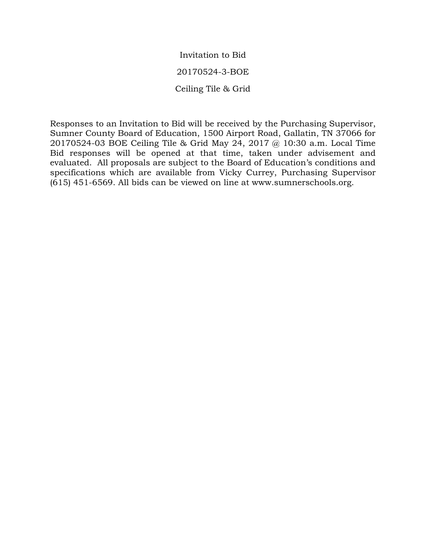Invitation to Bid 20170524-3-BOE Ceiling Tile & Grid

Responses to an Invitation to Bid will be received by the Purchasing Supervisor, Sumner County Board of Education, 1500 Airport Road, Gallatin, TN 37066 for 20170524-03 BOE Ceiling Tile & Grid May 24, 2017 @ 10:30 a.m. Local Time Bid responses will be opened at that time, taken under advisement and evaluated. All proposals are subject to the Board of Education's conditions and specifications which are available from Vicky Currey, Purchasing Supervisor (615) 451-6569. All bids can be viewed on line at www.sumnerschools.org.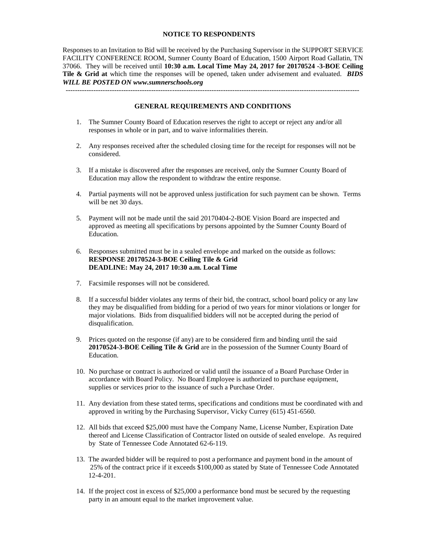## **NOTICE TO RESPONDENTS**

Responses to an Invitation to Bid will be received by the Purchasing Supervisor in the SUPPORT SERVICE FACILITY CONFERENCE ROOM, Sumner County Board of Education, 1500 Airport Road Gallatin, TN 37066. They will be received until **10:30 a.m. Local Time May 24, 2017 for 20170524 -3-BOE Ceiling Tile & Grid at** which time the responses will be opened, taken under advisement and evaluated. *BIDS WILL BE POSTED ON www.sumnerschools.org*

------------------------------------------------------------------------------------------------------------------------------- **GENERAL REQUIREMENTS AND CONDITIONS**

- 1. The Sumner County Board of Education reserves the right to accept or reject any and/or all responses in whole or in part, and to waive informalities therein.
- 2. Any responses received after the scheduled closing time for the receipt for responses will not be considered.
- 3. If a mistake is discovered after the responses are received, only the Sumner County Board of Education may allow the respondent to withdraw the entire response.
- 4. Partial payments will not be approved unless justification for such payment can be shown. Terms will be net 30 days.
- 5. Payment will not be made until the said 20170404-2-BOE Vision Board are inspected and approved as meeting all specifications by persons appointed by the Sumner County Board of Education.
- 6. Responses submitted must be in a sealed envelope and marked on the outside as follows: **RESPONSE 20170524-3-BOE Ceiling Tile & Grid DEADLINE: May 24, 2017 10:30 a.m. Local Time**
- 7. Facsimile responses will not be considered.
- 8. If a successful bidder violates any terms of their bid, the contract, school board policy or any law they may be disqualified from bidding for a period of two years for minor violations or longer for major violations. Bids from disqualified bidders will not be accepted during the period of disqualification.
- 9. Prices quoted on the response (if any) are to be considered firm and binding until the said **20170524-3-BOE Ceiling Tile & Grid** are in the possession of the Sumner County Board of Education.
- 10. No purchase or contract is authorized or valid until the issuance of a Board Purchase Order in accordance with Board Policy. No Board Employee is authorized to purchase equipment, supplies or services prior to the issuance of such a Purchase Order.
- 11. Any deviation from these stated terms, specifications and conditions must be coordinated with and approved in writing by the Purchasing Supervisor, Vicky Currey (615) 451-6560.
- 12. All bids that exceed \$25,000 must have the Company Name, License Number, Expiration Date thereof and License Classification of Contractor listed on outside of sealed envelope. As required by State of Tennessee Code Annotated 62-6-119.
- 13. The awarded bidder will be required to post a performance and payment bond in the amount of 25% of the contract price if it exceeds \$100,000 as stated by State of Tennessee Code Annotated 12-4-201.
- 14. If the project cost in excess of \$25,000 a performance bond must be secured by the requesting party in an amount equal to the market improvement value.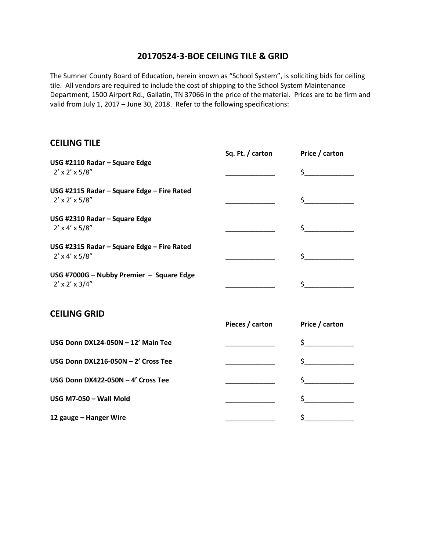## **20170524-3-BOE CEILING TILE & GRID**

The Sumner County Board of Education, herein known as "School System", is soliciting bids for ceiling tile. All vendors are required to include the cost of shipping to the School System Maintenance Department, 1500 Airport Rd., Gallatin, TN 37066 in the price of the material. Prices are to be firm and valid from July 1, 2017 – June 30, 2018. Refer to the following specifications:

## **CEILING TILE**

|                                                                           | Sq. Ft. / carton | Price / carton |
|---------------------------------------------------------------------------|------------------|----------------|
| USG #2110 Radar - Square Edge<br>$2' \times 2' \times 5/8''$              |                  | $\zeta$        |
| USG #2115 Radar - Square Edge - Fire Rated<br>$2' \times 2' \times 5/8''$ |                  | \$_            |
| USG #2310 Radar - Square Edge<br>$2' \times 4' \times 5/8''$              |                  | $\zeta$        |
| USG #2315 Radar - Square Edge - Fire Rated<br>$2' \times 4' \times 5/8''$ |                  | $\sharp$       |
| USG #7000G - Nubby Premier - Square Edge<br>$2' \times 2' \times 3/4''$   |                  | \$_            |
| <b>CEILING GRID</b>                                                       | Pieces / carton  | Price / carton |
| USG Donn DXL24-050N - 12' Main Tee                                        |                  | $\zeta$        |
| USG Donn DXL216-050N - 2' Cross Tee                                       |                  | \$             |
| USG Donn DX422-050N - 4' Cross Tee                                        |                  | $\sharp$       |
| USG M7-050 - Wall Mold                                                    |                  | \$             |
| 12 gauge - Hanger Wire                                                    |                  | \$             |